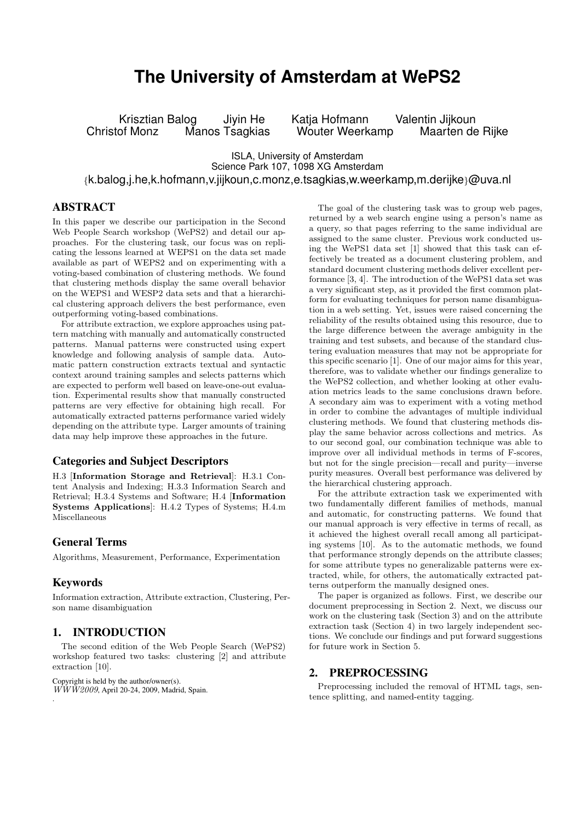# **The University of Amsterdam at WePS2**

Krisztian Balog Jiyin He Katja Hofmann Valentin Jijkoun<br>Christof Monz Manos Tsagkias Wouter Weerkamp Maarten de Rijke Manos Tsagkias Wouter Weerkamp

# ISLA, University of Amsterdam Science Park 107, 1098 XG Amsterdam {k.balog,j.he,k.hofmann,v.jijkoun,c.monz,e.tsagkias,w.weerkamp,m.derijke}@uva.nl

# ABSTRACT

In this paper we describe our participation in the Second Web People Search workshop (WePS2) and detail our approaches. For the clustering task, our focus was on replicating the lessons learned at WEPS1 on the data set made available as part of WEPS2 and on experimenting with a voting-based combination of clustering methods. We found that clustering methods display the same overall behavior on the WEPS1 and WESP2 data sets and that a hierarchical clustering approach delivers the best performance, even outperforming voting-based combinations.

For attribute extraction, we explore approaches using pattern matching with manually and automatically constructed patterns. Manual patterns were constructed using expert knowledge and following analysis of sample data. Automatic pattern construction extracts textual and syntactic context around training samples and selects patterns which are expected to perform well based on leave-one-out evaluation. Experimental results show that manually constructed patterns are very effective for obtaining high recall. For automatically extracted patterns performance varied widely depending on the attribute type. Larger amounts of training data may help improve these approaches in the future.

# Categories and Subject Descriptors

H.3 [Information Storage and Retrieval]: H.3.1 Content Analysis and Indexing; H.3.3 Information Search and Retrieval; H.3.4 Systems and Software; H.4 [Information Systems Applications]: H.4.2 Types of Systems; H.4.m Miscellaneous

# General Terms

Algorithms, Measurement, Performance, Experimentation

# Keywords

.

Information extraction, Attribute extraction, Clustering, Person name disambiguation

# 1. INTRODUCTION

The second edition of the Web People Search (WePS2) workshop featured two tasks: clustering [2] and attribute extraction [10].

Copyright is held by the author/owner(s).  $W\dot{W}\ddot{W}$ 2009, April 20-24, 2009, Madrid, Spain.

The goal of the clustering task was to group web pages, returned by a web search engine using a person's name as a query, so that pages referring to the same individual are assigned to the same cluster. Previous work conducted using the WePS1 data set [1] showed that this task can effectively be treated as a document clustering problem, and standard document clustering methods deliver excellent performance [3, 4]. The introduction of the WePS1 data set was a very significant step, as it provided the first common platform for evaluating techniques for person name disambiguation in a web setting. Yet, issues were raised concerning the reliability of the results obtained using this resource, due to the large difference between the average ambiguity in the training and test subsets, and because of the standard clustering evaluation measures that may not be appropriate for this specific scenario [1]. One of our major aims for this year, therefore, was to validate whether our findings generalize to the WePS2 collection, and whether looking at other evaluation metrics leads to the same conclusions drawn before. A secondary aim was to experiment with a voting method in order to combine the advantages of multiple individual clustering methods. We found that clustering methods display the same behavior across collections and metrics. As to our second goal, our combination technique was able to improve over all individual methods in terms of F-scores, but not for the single precision—recall and purity—inverse purity measures. Overall best performance was delivered by the hierarchical clustering approach.

For the attribute extraction task we experimented with two fundamentally different families of methods, manual and automatic, for constructing patterns. We found that our manual approach is very effective in terms of recall, as it achieved the highest overall recall among all participating systems [10]. As to the automatic methods, we found that performance strongly depends on the attribute classes; for some attribute types no generalizable patterns were extracted, while, for others, the automatically extracted patterns outperform the manually designed ones.

The paper is organized as follows. First, we describe our document preprocessing in Section 2. Next, we discuss our work on the clustering task (Section 3) and on the attribute extraction task (Section 4) in two largely independent sections. We conclude our findings and put forward suggestions for future work in Section 5.

#### 2. PREPROCESSING

Preprocessing included the removal of HTML tags, sentence splitting, and named-entity tagging.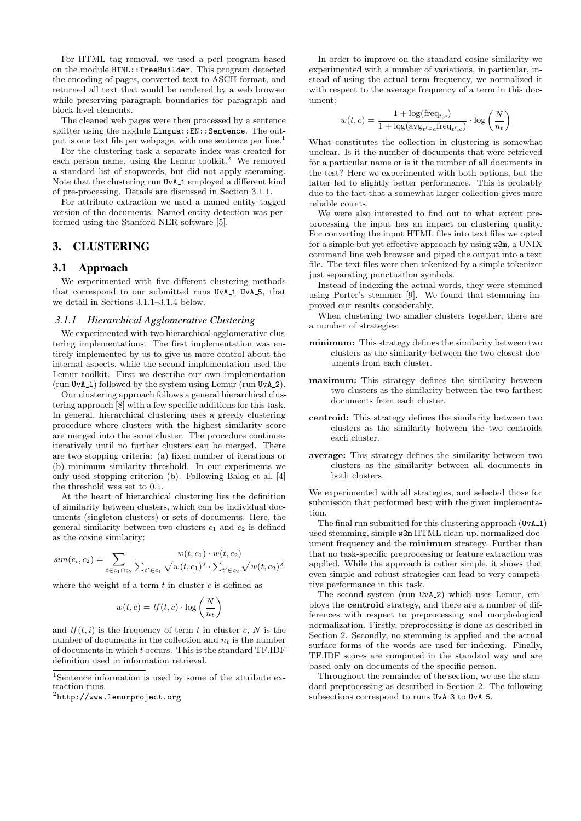For HTML tag removal, we used a perl program based on the module HTML::TreeBuilder. This program detected the encoding of pages, converted text to ASCII format, and returned all text that would be rendered by a web browser while preserving paragraph boundaries for paragraph and block level elements.

The cleaned web pages were then processed by a sentence splitter using the module Lingua:: EN:: Sentence. The output is one text file per webpage, with one sentence per line.<sup>1</sup>

For the clustering task a separate index was created for each person name, using the Lemur toolkit.<sup>2</sup> We removed a standard list of stopwords, but did not apply stemming. Note that the clustering run UvA<sub>-1</sub> employed a different kind of pre-processing. Details are discussed in Section 3.1.1.

For attribute extraction we used a named entity tagged version of the documents. Named entity detection was performed using the Stanford NER software [5].

# 3. CLUSTERING

#### 3.1 Approach

We experimented with five different clustering methods that correspond to our submitted runs UvA<sub>-1</sub>-UvA<sub>-5</sub>, that we detail in Sections 3.1.1–3.1.4 below.

#### *3.1.1 Hierarchical Agglomerative Clustering*

We experimented with two hierarchical agglomerative clustering implementations. The first implementation was entirely implemented by us to give us more control about the internal aspects, while the second implementation used the Lemur toolkit. First we describe our own implementation (run  $UvA_1$ ) followed by the system using Lemur (run  $UvA_2$ ).

Our clustering approach follows a general hierarchical clustering approach [8] with a few specific additions for this task. In general, hierarchical clustering uses a greedy clustering procedure where clusters with the highest similarity score are merged into the same cluster. The procedure continues iteratively until no further clusters can be merged. There are two stopping criteria: (a) fixed number of iterations or (b) minimum similarity threshold. In our experiments we only used stopping criterion (b). Following Balog et al. [4] the threshold was set to 0.1.

At the heart of hierarchical clustering lies the definition of similarity between clusters, which can be individual documents (singleton clusters) or sets of documents. Here, the general similarity between two clusters  $c_1$  and  $c_2$  is defined as the cosine similarity:

$$
sim(c_i, c_2) = \sum_{t \in c_1 \cap c_2} \frac{w(t, c_1) \cdot w(t, c_2)}{\sum_{t' \in c_1} \sqrt{w(t, c_1)^2} \cdot \sum_{t' \in c_2} \sqrt{w(t, c_2)^2}}
$$

where the weight of a term  $t$  in cluster  $c$  is defined as

$$
w(t, c) = tf(t, c) \cdot \log\left(\frac{N}{n_t}\right)
$$

and  $tf(t, i)$  is the frequency of term t in cluster c, N is the number of documents in the collection and  $n_t$  is the number of documents in which t occurs. This is the standard TF.IDF definition used in information retrieval.

In order to improve on the standard cosine similarity we experimented with a number of variations, in particular, instead of using the actual term frequency, we normalized it with respect to the average frequency of a term in this document:

$$
w(t, c) = \frac{1 + \log(\text{freq}_{t, c})}{1 + \log(\text{avg}_{t' \in c} \text{freq}_{t', c})} \cdot \log\left(\frac{N}{n_t}\right)
$$

What constitutes the collection in clustering is somewhat unclear. Is it the number of documents that were retrieved for a particular name or is it the number of all documents in the test? Here we experimented with both options, but the latter led to slightly better performance. This is probably due to the fact that a somewhat larger collection gives more reliable counts.

We were also interested to find out to what extent preprocessing the input has an impact on clustering quality. For converting the input HTML files into text files we opted for a simple but yet effective approach by using w3m, a UNIX command line web browser and piped the output into a text file. The text files were then tokenized by a simple tokenizer just separating punctuation symbols.

Instead of indexing the actual words, they were stemmed using Porter's stemmer [9]. We found that stemming improved our results considerably.

When clustering two smaller clusters together, there are a number of strategies:

- minimum: This strategy defines the similarity between two clusters as the similarity between the two closest documents from each cluster.
- maximum: This strategy defines the similarity between two clusters as the similarity between the two farthest documents from each cluster.
- centroid: This strategy defines the similarity between two clusters as the similarity between the two centroids each cluster.
- average: This strategy defines the similarity between two clusters as the similarity between all documents in both clusters.

We experimented with all strategies, and selected those for submission that performed best with the given implementation.

The final run submitted for this clustering approach (UvA\_1) used stemming, simple w3m HTML clean-up, normalized document frequency and the minimum strategy. Further than that no task-specific preprocessing or feature extraction was applied. While the approach is rather simple, it shows that even simple and robust strategies can lead to very competitive performance in this task.

The second system (run UvA<sub>-2</sub>) which uses Lemur, employs the centroid strategy, and there are a number of differences with respect to preprocessing and morphological normalization. Firstly, preprocessing is done as described in Section 2. Secondly, no stemming is applied and the actual surface forms of the words are used for indexing. Finally, TF.IDF scores are computed in the standard way and are based only on documents of the specific person.

Throughout the remainder of the section, we use the standard preprocessing as described in Section 2. The following subsections correspond to runs UvA<sub>-3</sub> to UvA<sub>-5</sub>.

 $1$ Sentence information is used by some of the attribute extraction runs.

 $^{2}$ http://www.lemurproject.org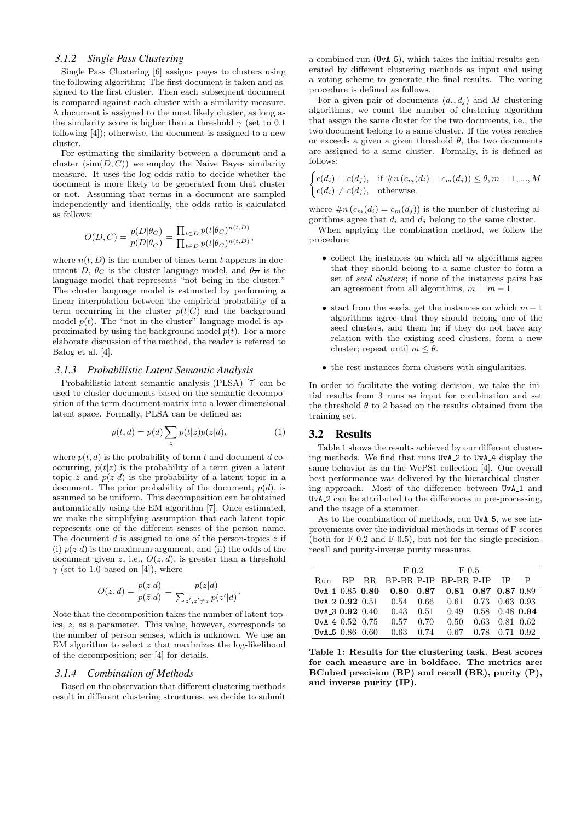#### *3.1.2 Single Pass Clustering*

Single Pass Clustering [6] assigns pages to clusters using the following algorithm: The first document is taken and assigned to the first cluster. Then each subsequent document is compared against each cluster with a similarity measure. A document is assigned to the most likely cluster, as long as the similarity score is higher than a threshold  $\gamma$  (set to 0.1) following [4]); otherwise, the document is assigned to a new cluster.

For estimating the similarity between a document and a cluster  $(\text{sim}(D, C))$  we employ the Naive Bayes similarity measure. It uses the log odds ratio to decide whether the document is more likely to be generated from that cluster or not. Assuming that terms in a document are sampled independently and identically, the odds ratio is calculated as follows:

$$
O(D, C) = \frac{p(D|\theta_C)}{p(D|\theta_{\bar{C}})} = \frac{\prod_{t \in D} p(t|\theta_C)^{n(t, D)}}{\prod_{t \in D} p(t|\theta_{\bar{C}})^{n(t, D)}}
$$

,

where  $n(t, D)$  is the number of times term t appears in document D,  $\theta_C$  is the cluster language model, and  $\theta_{\overline{C}}$  is the language model that represents "not being in the cluster." The cluster language model is estimated by performing a linear interpolation between the empirical probability of a term occurring in the cluster  $p(t|C)$  and the background model  $p(t)$ . The "not in the cluster" language model is approximated by using the background model  $p(t)$ . For a more elaborate discussion of the method, the reader is referred to Balog et al. [4].

#### *3.1.3 Probabilistic Latent Semantic Analysis*

Probabilistic latent semantic analysis (PLSA) [7] can be used to cluster documents based on the semantic decomposition of the term document matrix into a lower dimensional latent space. Formally, PLSA can be defined as:

$$
p(t,d) = p(d) \sum_{z} p(t|z)p(z|d), \qquad (1)
$$

where  $p(t, d)$  is the probability of term t and document d cooccurring,  $p(t|z)$  is the probability of a term given a latent topic z and  $p(z|d)$  is the probability of a latent topic in a document. The prior probability of the document,  $p(d)$ , is assumed to be uniform. This decomposition can be obtained automatically using the EM algorithm [7]. Once estimated, we make the simplifying assumption that each latent topic represents one of the different senses of the person name. The document  $d$  is assigned to one of the person-topics  $z$  if (i)  $p(z|d)$  is the maximum argument, and (ii) the odds of the document given z, i.e.,  $O(z, d)$ , is greater than a threshold  $\gamma$  (set to 1.0 based on [4]), where

$$
O(z,d) = \frac{p(z|d)}{p(\bar{z}|d)} = \frac{p(z|d)}{\sum_{z',z'\neq z} p(z'|d)}.
$$

Note that the decomposition takes the number of latent topics, z, as a parameter. This value, however, corresponds to the number of person senses, which is unknown. We use an EM algorithm to select  $z$  that maximizes the log-likelihood of the decomposition; see [4] for details.

#### *3.1.4 Combination of Methods*

Based on the observation that different clustering methods result in different clustering structures, we decide to submit

a combined run (UvA<sub>-5</sub>), which takes the initial results generated by different clustering methods as input and using a voting scheme to generate the final results. The voting procedure is defined as follows.

For a given pair of documents  $(d_i, d_j)$  and M clustering algorithms, we count the number of clustering algorithm that assign the same cluster for the two documents, i.e., the two document belong to a same cluster. If the votes reaches or exceeds a given a given threshold  $\theta$ , the two documents are assigned to a same cluster. Formally, it is defined as follows:

$$
\begin{cases} c(d_i) = c(d_j), & \text{if } \#n \left( c_m(d_i) = c_m(d_j) \right) \le \theta, m = 1, ..., M \\ c(d_i) \ne c(d_j), & \text{otherwise.} \end{cases}
$$

where  $\#n(c_m(d_i) = c_m(d_j))$  is the number of clustering algorithms agree that  $d_i$  and  $d_j$  belong to the same cluster.

When applying the combination method, we follow the procedure:

- collect the instances on which all  $m$  algorithms agree that they should belong to a same cluster to form a set of seed clusters; if none of the instances pairs has an agreement from all algorithms,  $m = m - 1$
- start from the seeds, get the instances on which  $m-1$ algorithms agree that they should belong one of the seed clusters, add them in; if they do not have any relation with the existing seed clusters, form a new cluster; repeat until  $m \leq \theta$ .
- the rest instances form clusters with singularities.

In order to facilitate the voting decision, we take the initial results from 3 runs as input for combination and set the threshold  $\theta$  to 2 based on the results obtained from the training set.

## 3.2 Results

Table 1 shows the results achieved by our different clustering methods. We find that runs UvA 2 to UvA 4 display the same behavior as on the WePS1 collection [4]. Our overall best performance was delivered by the hierarchical clustering approach. Most of the difference between UvA<sub>-1</sub> and UvA 2 can be attributed to the differences in pre-processing, and the usage of a stemmer.

As to the combination of methods, run UvA<sub>-5</sub>, we see improvements over the individual methods in terms of F-scores (both for F-0.2 and F-0.5), but not for the single precisionrecall and purity-inverse purity measures.

|                     |  | $F-0.2$ $F-0.5$                                 |  |                                         |  |  |
|---------------------|--|-------------------------------------------------|--|-----------------------------------------|--|--|
|                     |  | Run BP BR BP-BR P-IP BP-BR P-IP IP P            |  |                                         |  |  |
|                     |  | UvA 1 0.85 0.80 0.80 0.87 0.81 0.87 0.87 0.89   |  |                                         |  |  |
|                     |  | $UvA_2$ 0.92 0.51 0.54 0.66 0.61 0.73 0.63 0.93 |  |                                         |  |  |
| UvA 3 $0.92$ $0.40$ |  | $0.43 \quad 0.51$                               |  | $0.49$ $0.58$ $0.48$ <b>0.94</b>        |  |  |
| UvA 4 0.52 0.75     |  | $0.57 \quad 0.70$                               |  | $0.50 \quad 0.63 \quad 0.81 \quad 0.62$ |  |  |
| UyA 5 0.86 0.60     |  | $0.63 \quad 0.74$                               |  | $0.67$ $0.78$ $0.71$ $0.92$             |  |  |

Table 1: Results for the clustering task. Best scores for each measure are in boldface. The metrics are: BCubed precision (BP) and recall (BR), purity (P), and inverse purity (IP).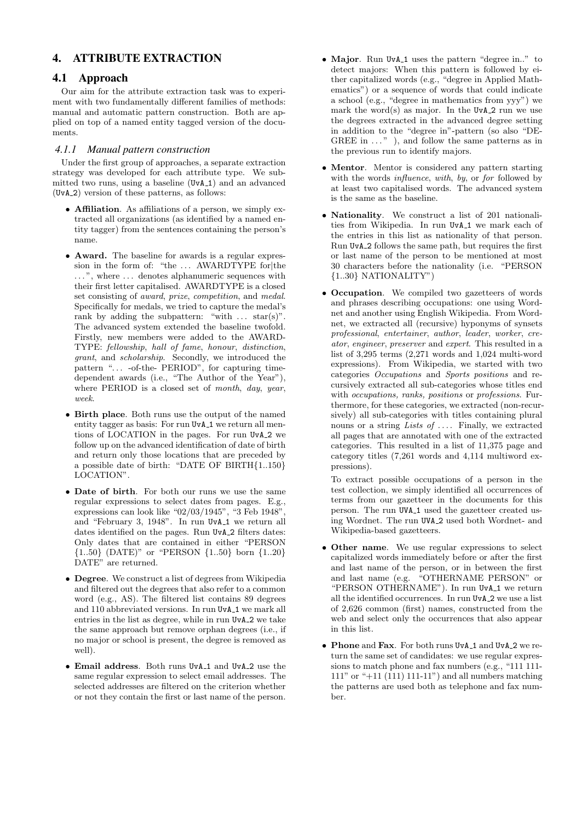# 4. ATTRIBUTE EXTRACTION

# 4.1 Approach

Our aim for the attribute extraction task was to experiment with two fundamentally different families of methods: manual and automatic pattern construction. Both are applied on top of a named entity tagged version of the documents.

#### *4.1.1 Manual pattern construction*

Under the first group of approaches, a separate extraction strategy was developed for each attribute type. We submitted two runs, using a baseline (UvA<sub>1</sub>) and an advanced (UvA 2) version of these patterns, as follows:

- Affiliation. As affiliations of a person, we simply extracted all organizations (as identified by a named entity tagger) from the sentences containing the person's name.
- Award. The baseline for awards is a regular expression in the form of: "the ... AWARDTYPE for the ...", where ... denotes alphanumeric sequences with their first letter capitalised. AWARDTYPE is a closed set consisting of award, prize, competition, and medal. Specifically for medals, we tried to capture the medal's rank by adding the subpattern: "with  $\dots$  star(s)". The advanced system extended the baseline twofold. Firstly, new members were added to the AWARD-TYPE: fellowship, hall of fame, honour, distinction, grant, and scholarship. Secondly, we introduced the pattern "... -of-the- PERIOD", for capturing timedependent awards (i.e., "The Author of the Year"), where PERIOD is a closed set of *month*, *day*, *year*, week.
- Birth place. Both runs use the output of the named entity tagger as basis: For run UvA<sub>-1</sub> we return all mentions of LOCATION in the pages. For run UvA 2 we follow up on the advanced identification of date of birth and return only those locations that are preceded by a possible date of birth: "DATE OF BIRTH{1..150} LOCATION".
- Date of birth. For both our runs we use the same regular expressions to select dates from pages. E.g., expressions can look like " $02/03/1945$ ", "3 Feb 1948" and "February 3, 1948". In run UvA<sub>-1</sub> we return all dates identified on the pages. Run UvA<sub>-2</sub> filters dates: Only dates that are contained in either "PERSON {1..50} (DATE)" or "PERSON {1..50} born {1..20} DATE" are returned.
- Degree. We construct a list of degrees from Wikipedia and filtered out the degrees that also refer to a common word (e.g., AS). The filtered list contains 89 degrees and 110 abbreviated versions. In run UvA 1 we mark all entries in the list as degree, while in run UvA 2 we take the same approach but remove orphan degrees (i.e., if no major or school is present, the degree is removed as well).
- Email address. Both runs UvA 1 and UvA 2 use the same regular expression to select email addresses. The selected addresses are filtered on the criterion whether or not they contain the first or last name of the person.
- Major. Run UvA<sub>-1</sub> uses the pattern "degree in.." to detect majors: When this pattern is followed by either capitalized words (e.g., "degree in Applied Mathematics") or a sequence of words that could indicate a school (e.g., "degree in mathematics from yyy") we mark the word(s) as major. In the  $UvA_2$  run we use the degrees extracted in the advanced degree setting in addition to the "degree in"-pattern (so also "DE-GREE in  $\dots$ ", and follow the same patterns as in the previous run to identify majors.
- Mentor. Mentor is considered any pattern starting with the words *influence*, with, by, or for followed by at least two capitalised words. The advanced system is the same as the baseline.
- Nationality. We construct a list of 201 nationalities from Wikipedia. In run UvA 1 we mark each of the entries in this list as nationality of that person. Run UvA 2 follows the same path, but requires the first or last name of the person to be mentioned at most 30 characters before the nationality (i.e. "PERSON {1..30} NATIONALITY")
- Occupation. We compiled two gazetteers of words and phrases describing occupations: one using Wordnet and another using English Wikipedia. From Wordnet, we extracted all (recursive) hyponyms of synsets professional, entertainer, author, leader, worker, creator, engineer, preserver and expert. This resulted in a list of 3,295 terms (2,271 words and 1,024 multi-word expressions). From Wikipedia, we started with two categories Occupations and Sports positions and recursively extracted all sub-categories whose titles end with *occupations*, *ranks*, *positions* or *professions*. Furthermore, for these categories, we extracted (non-recursively) all sub-categories with titles containing plural nouns or a string Lists of  $\ldots$  Finally, we extracted all pages that are annotated with one of the extracted categories. This resulted in a list of 11,375 page and category titles (7,261 words and 4,114 multiword expressions).

To extract possible occupations of a person in the test collection, we simply identified all occurrences of terms from our gazetteer in the documents for this person. The run UVA<sub>-1</sub> used the gazetteer created using Wordnet. The run UVA 2 used both Wordnet- and Wikipedia-based gazetteers.

- Other name. We use regular expressions to select capitalized words immediately before or after the first and last name of the person, or in between the first and last name (e.g. "OTHERNAME PERSON" or "PERSON OTHERNAME"). In run UvA<sub>-1</sub> we return all the identified occurrences. In run UvA 2 we use a list of 2,626 common (first) names, constructed from the web and select only the occurrences that also appear in this list.
- Phone and Fax. For both runs UvA\_1 and UvA\_2 we return the same set of candidates: we use regular expressions to match phone and fax numbers (e.g., "111 111- 111" or "+11 (111) 111-11") and all numbers matching the patterns are used both as telephone and fax number.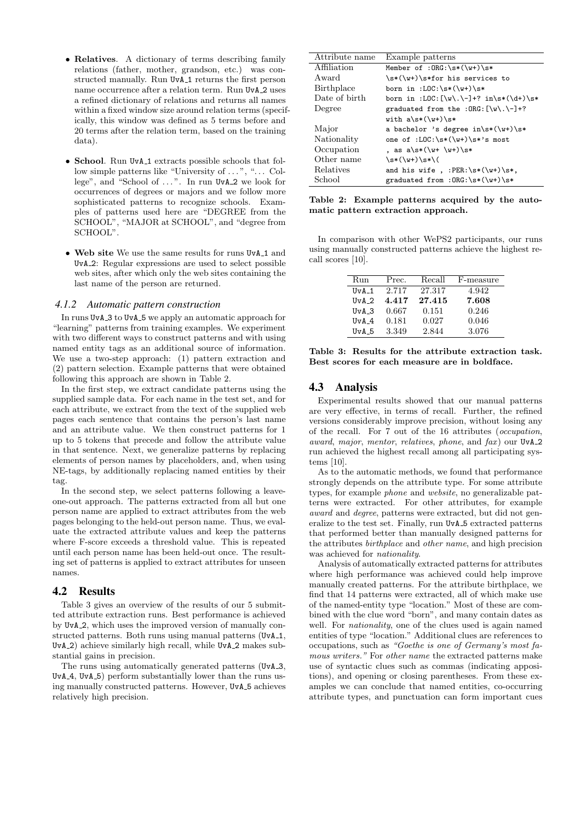- Relatives. A dictionary of terms describing family relations (father, mother, grandson, etc.) was constructed manually. Run UvA 1 returns the first person name occurrence after a relation term. Run UvA<sub>-2</sub> uses a refined dictionary of relations and returns all names within a fixed window size around relation terms (specifically, this window was defined as 5 terms before and 20 terms after the relation term, based on the training data).
- School. Run UvA<sub>-1</sub> extracts possible schools that follow simple patterns like "University of  $\dots$ ", " $\dots$  College", and "School of ...". In run UvA<sub>-2</sub> we look for occurrences of degrees or majors and we follow more sophisticated patterns to recognize schools. Examples of patterns used here are "DEGREE from the SCHOOL", "MAJOR at SCHOOL", and "degree from SCHOOL".
- Web site We use the same results for runs UvA<sub>-1</sub> and UvA 2: Regular expressions are used to select possible web sites, after which only the web sites containing the last name of the person are returned.

#### *4.1.2 Automatic pattern construction*

In runs UvA 3 to UvA 5 we apply an automatic approach for "learning" patterns from training examples. We experiment with two different ways to construct patterns and with using named entity tags as an additional source of information. We use a two-step approach: (1) pattern extraction and (2) pattern selection. Example patterns that were obtained following this approach are shown in Table 2.

In the first step, we extract candidate patterns using the supplied sample data. For each name in the test set, and for each attribute, we extract from the text of the supplied web pages each sentence that contains the person's last name and an attribute value. We then construct patterns for 1 up to 5 tokens that precede and follow the attribute value in that sentence. Next, we generalize patterns by replacing elements of person names by placeholders, and, when using NE-tags, by additionally replacing named entities by their tag.

In the second step, we select patterns following a leaveone-out approach. The patterns extracted from all but one person name are applied to extract attributes from the web pages belonging to the held-out person name. Thus, we evaluate the extracted attribute values and keep the patterns where F-score exceeds a threshold value. This is repeated until each person name has been held-out once. The resulting set of patterns is applied to extract attributes for unseen names.

# 4.2 Results

Table 3 gives an overview of the results of our 5 submitted attribute extraction runs. Best performance is achieved by UvA 2, which uses the improved version of manually constructed patterns. Both runs using manual patterns (UvA<sub>-1</sub>, UvA 2) achieve similarly high recall, while UvA 2 makes substantial gains in precision.

The runs using automatically generated patterns (UvA\_3, UvA<sub>-4</sub>, UvA<sub>-5</sub>) perform substantially lower than the runs using manually constructed patterns. However, UvA 5 achieves relatively high precision.

| Attribute name    | Example patterns                                         |
|-------------------|----------------------------------------------------------|
| Affiliation       | Member of : $ORG:\s*(\w+))$ s*                           |
| Award             | \s*(\w+)\s*for his services to                           |
| <b>Birthplace</b> | born in :LOC:\s*(\w+)\s*                                 |
| Date of birth     | born in :LOC: $[\w \.\{-] +? \in \mathbb{R} * (\d+) \s*$ |
| Degree            | graduated from the : $ORG: [\wedge w \wedge -] + ?$      |
|                   | with $a\$ +(w+)s*                                        |
| Major             | a bachelor 's degree $in\s*(\w+))$ s*                    |
| Nationality       | one of : $LOC:\s*(\w+))$ s*'s most                       |
| Occupation        | , as $a\s\left(\w+ \w+\right)\s$                         |
| Other name        | $\s*(\w+{\ }s*(\w+{\ }s*)$                               |
| Relatives         | and his wife, :PER: $\s*(\w+))$ s*,                      |
| School            | graduated from : ORG: \s*(\w+) \s*                       |

Table 2: Example patterns acquired by the automatic pattern extraction approach.

In comparison with other WePS2 participants, our runs using manually constructed patterns achieve the highest recall scores [10].

| Run     | Prec. | Recall | F-measure |
|---------|-------|--------|-----------|
| $UvA_1$ | 2.717 | 27.317 | 4.942     |
| $UvA$ 2 | 4.417 | 27.415 | 7.608     |
| UvA 3   | 0.667 | 0.151  | 0.246     |
| UvA 4   | 0.181 | 0.027  | 0.046     |
| UvA 5   | 3.349 | 2.844  | 3.076     |

Table 3: Results for the attribute extraction task. Best scores for each measure are in boldface.

## 4.3 Analysis

Experimental results showed that our manual patterns are very effective, in terms of recall. Further, the refined versions considerably improve precision, without losing any of the recall. For 7 out of the 16 attributes (occupation, award, major, mentor, relatives, phone, and fax) our UvA<sub>-2</sub> run achieved the highest recall among all participating systems [10].

As to the automatic methods, we found that performance strongly depends on the attribute type. For some attribute types, for example phone and website, no generalizable patterns were extracted. For other attributes, for example award and degree, patterns were extracted, but did not generalize to the test set. Finally, run UvA<sub>-5</sub> extracted patterns that performed better than manually designed patterns for the attributes birthplace and other name, and high precision was achieved for nationality.

Analysis of automatically extracted patterns for attributes where high performance was achieved could help improve manually created patterns. For the attribute birthplace, we find that 14 patterns were extracted, all of which make use of the named-entity type "location." Most of these are combined with the clue word "born", and many contain dates as well. For *nationality*, one of the clues used is again named entities of type "location." Additional clues are references to occupations, such as "Goethe is one of Germany's most famous writers." For other name the extracted patterns make use of syntactic clues such as commas (indicating appositions), and opening or closing parentheses. From these examples we can conclude that named entities, co-occurring attribute types, and punctuation can form important cues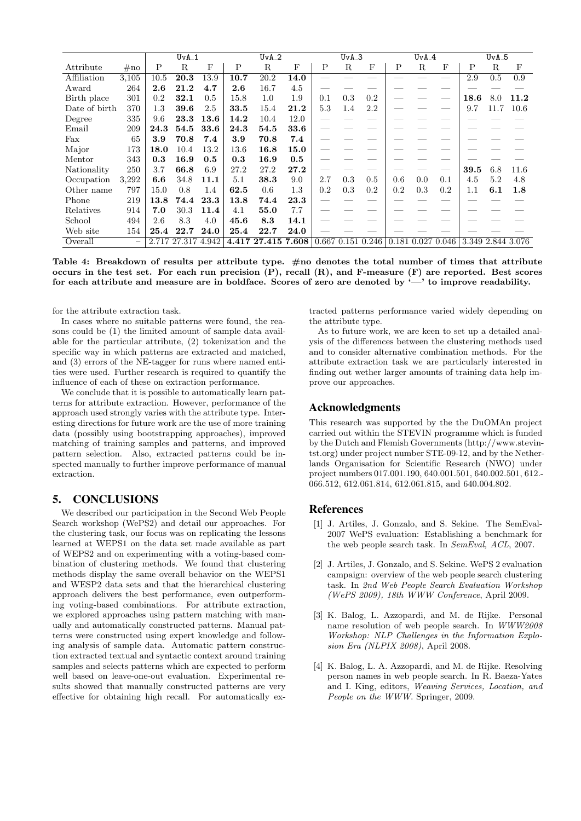|                    |        | $UvA_1$ |                    | $UvA_2$ |      | UvA_3              |      | UvA <sub>-4</sub> |     |                     | $UvA_5$ |     |                     |                   |      |            |
|--------------------|--------|---------|--------------------|---------|------|--------------------|------|-------------------|-----|---------------------|---------|-----|---------------------|-------------------|------|------------|
| Attribute          | $\#no$ | P       | R                  | F       | P    | R                  | F    | P                 | R   | F                   | P       | R   | F                   | P                 | R.   | $_{\rm F}$ |
| <b>Affiliation</b> | 3,105  | 10.5    | 20.3               | 13.9    | 10.7 | 20.2               | 14.0 |                   |     |                     |         |     |                     | 2.9               | 0.5  | 0.9        |
| Award              | 264    | 2.6     | 21.2               | 4.7     | 2.6  | 16.7               | 4.5  |                   |     |                     |         |     |                     |                   |      |            |
| Birth place        | 301    | 0.2     | 32.1               | 0.5     | 15.8 | 1.0                | 1.9  | 0.1               | 0.3 | 0.2                 |         |     |                     | 18.6              | 8.0  | 11.2       |
| Date of birth      | 370    | 1.3     | 39.6               | 2.5     | 33.5 | 15.4               | 21.2 | 5.3               | 1.4 | 2.2                 |         |     |                     | 9.7               | 11.7 | 10.6       |
| Degree             | 335    | 9.6     | 23.3               | 13.6    | 14.2 | 10.4               | 12.0 |                   |     |                     |         |     |                     |                   |      |            |
| Email              | 209    | 24.3    | 54.5               | 33.6    | 24.3 | 54.5               | 33.6 |                   |     |                     |         |     |                     |                   |      |            |
| Fax                | 65     | 3.9     | 70.8               | 7.4     | 3.9  | 70.8               | 7.4  |                   |     |                     |         |     |                     |                   |      |            |
| Major              | 173    | 18.0    | 10.4               | 13.2    | 13.6 | 16.8               | 15.0 |                   |     |                     |         |     |                     |                   |      |            |
| Mentor             | 343    | 0.3     | 16.9               | 0.5     | 0.3  | 16.9               | 0.5  |                   |     |                     |         |     |                     |                   |      |            |
| Nationality        | 250    | 3.7     | 66.8               | 6.9     | 27.2 | 27.2               | 27.2 |                   |     |                     |         |     |                     | 39.5              | 6.8  | 11.6       |
| Occupation         | 3,292  | 6.6     | 34.8               | 11.1    | 5.1  | 38.3               | 9.0  | 2.7               | 0.3 | 0.5                 | 0.6     | 0.0 | 0.1                 | 4.5               | 5.2  | 4.8        |
| Other name         | 797    | 15.0    | 0.8                | 1.4     | 62.5 | 0.6                | 1.3  | 0.2               | 0.3 | 0.2                 | 0.2     | 0.3 | 0.2                 | 1.1               | 6.1  | 1.8        |
| Phone              | 219    | 13.8    | 74.4               | 23.3    | 13.8 | 74.4               | 23.3 |                   |     |                     |         |     |                     |                   |      |            |
| Relatives          | 914    | 7.0     | 30.3               | 11.4    | 4.1  | 55.0               | 7.7  |                   |     |                     |         |     |                     |                   |      |            |
| School             | 494    | 2.6     | 8.3                | 4.0     | 45.6 | 8.3                | 14.1 |                   |     |                     |         |     |                     |                   |      |            |
| Web site           | 154    | 25.4    | 22.7               | 24.0    | 25.4 | 22.7               | 24.0 |                   |     |                     |         |     |                     |                   |      |            |
| Overall            |        |         | 2.717 27.317 4.942 |         |      | 4.417 27.415 7.608 |      |                   |     | $0.667$ 0.151 0.246 |         |     | $0.181$ 0.027 0.046 | 3.349 2.844 3.076 |      |            |

Table 4: Breakdown of results per attribute type. #no denotes the total number of times that attribute occurs in the test set. For each run precision (P), recall (R), and F-measure (F) are reported. Best scores for each attribute and measure are in boldface. Scores of zero are denoted by  $\leftarrow$  to improve readability.

for the attribute extraction task.

In cases where no suitable patterns were found, the reasons could be (1) the limited amount of sample data available for the particular attribute, (2) tokenization and the specific way in which patterns are extracted and matched, and (3) errors of the NE-tagger for runs where named entities were used. Further research is required to quantify the influence of each of these on extraction performance.

We conclude that it is possible to automatically learn patterns for attribute extraction. However, performance of the approach used strongly varies with the attribute type. Interesting directions for future work are the use of more training data (possibly using bootstrapping approaches), improved matching of training samples and patterns, and improved pattern selection. Also, extracted patterns could be inspected manually to further improve performance of manual extraction.

# 5. CONCLUSIONS

We described our participation in the Second Web People Search workshop (WePS2) and detail our approaches. For the clustering task, our focus was on replicating the lessons learned at WEPS1 on the data set made available as part of WEPS2 and on experimenting with a voting-based combination of clustering methods. We found that clustering methods display the same overall behavior on the WEPS1 and WESP2 data sets and that the hierarchical clustering approach delivers the best performance, even outperforming voting-based combinations. For attribute extraction, we explored approaches using pattern matching with manually and automatically constructed patterns. Manual patterns were constructed using expert knowledge and following analysis of sample data. Automatic pattern construction extracted textual and syntactic context around training samples and selects patterns which are expected to perform well based on leave-one-out evaluation. Experimental results showed that manually constructed patterns are very effective for obtaining high recall. For automatically extracted patterns performance varied widely depending on the attribute type.

As to future work, we are keen to set up a detailed analysis of the differences between the clustering methods used and to consider alternative combination methods. For the attribute extraction task we are particularly interested in finding out wether larger amounts of training data help improve our approaches.

## Acknowledgments

This research was supported by the the DuOMAn project carried out within the STEVIN programme which is funded by the Dutch and Flemish Governments (http://www.stevintst.org) under project number STE-09-12, and by the Netherlands Organisation for Scientific Research (NWO) under project numbers 017.001.190, 640.001.501, 640.002.501, 612.- 066.512, 612.061.814, 612.061.815, and 640.004.802.

## References

- [1] J. Artiles, J. Gonzalo, and S. Sekine. The SemEval-2007 WePS evaluation: Establishing a benchmark for the web people search task. In SemEval, ACL, 2007.
- [2] J. Artiles, J. Gonzalo, and S. Sekine. WePS 2 evaluation campaign: overview of the web people search clustering task. In 2nd Web People Search Evaluation Workshop (WePS 2009), 18th WWW Conference, April 2009.
- [3] K. Balog, L. Azzopardi, and M. de Rijke. Personal name resolution of web people search. In WWW2008 Workshop: NLP Challenges in the Information Explosion Era (NLPIX 2008), April 2008.
- [4] K. Balog, L. A. Azzopardi, and M. de Rijke. Resolving person names in web people search. In R. Baeza-Yates and I. King, editors, Weaving Services, Location, and People on the WWW. Springer, 2009.